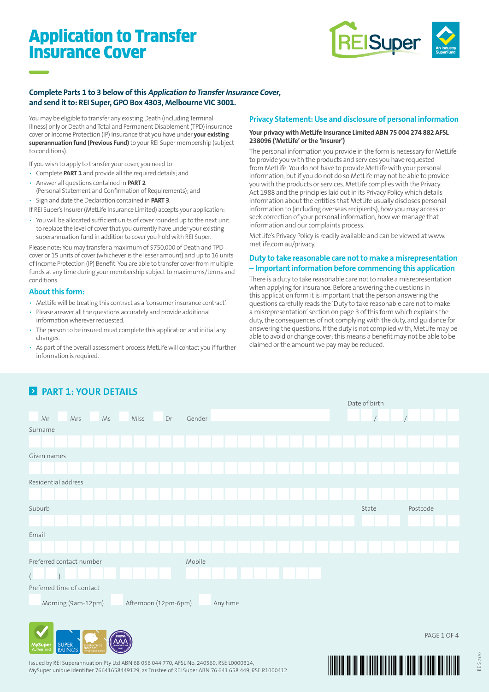# Application to Transfer Insurance Cover



### **Complete Parts 1 to 3 below of this Application to Transfer Insurance Cover, and send it to: REI Super, GPO Box 4303, Melbourne VIC 3001.**

You may be eligible to transfer any existing Death (including Terminal Illness) only or Death and Total and Permanent Disablement (TPD) insurance cover or Income Protection (IP) Insurance that you have under **your existing superannuation fund (Previous Fund)** to your REI Super membership (subject to conditions).

If you wish to apply to transfer your cover, you need to:

- Complete **PART 1** and provide all the required details; and
- Answer all questions contained in **PART 2**
- (Personal Statement and Confirmation of Requirements); and • Sign and date the Declaration contained in **PART 3**.

If REI Super's Insurer (MetLife Insurance Limited) accepts your application:

• You will be allocated sufficient units of cover rounded up to the next unit to replace the level of cover that you currently have under your existing superannuation fund in addition to cover you hold with REI Super.

Please note: You may transfer a maximum of \$750,000 of Death and TPD cover or 15 units of cover (whichever is the lesser amount) and up to 16 units of Income Protection (IP) Benefit. You are able to transfer cover from multiple funds at any time during your membership subject to maximums/terms and conditions.

### **About this form:**

- MetLife will be treating this contract as a 'consumer insurance contract'.
- Please answer all the questions accurately and provide additional information wherever requested.
- The person to be insured must complete this application and initial any changes.
- As part of the overall assessment process MetLife will contact you if further information is required.

### **Privacy Statement: Use and disclosure of personal information**

#### **Your privacy with MetLife Insurance Limited ABN 75 004 274 882 AFSL 238096 ('MetLife' or the 'Insurer')**

The personal information you provide in the form is necessary for MetLife to provide you with the products and services you have requested from MetLife. You do not have to provide MetLife with your personal information, but if you do not do so MetLife may not be able to provide you with the products or services. MetLife complies with the Privacy Act 1988 and the principles laid out in its Privacy Policy which details information about the entities that MetLife usually discloses personal information to (including overseas recipients), how you may access or seek correction of your personal information, how we manage that information and our complaints process.

MetLife's Privacy Policy is readily available and can be viewed at www. metlife.com.au/privacy.

### **Duty to take reasonable care not to make a misrepresentation – Important information before commencing this application**

There is a duty to take reasonable care not to make a misrepresentation when applying for insurance. Before answering the questions in this application form it is important that the person answering the questions carefully reads the 'Duty to take reasonable care not to make a misrepresentation' section on page 3 of this form which explains the duty, the consequences of not complying with the duty, and guidance for answering the questions. If the duty is not complied with, MetLife may be able to avoid or change cover; this means a benefit may not be able to be claimed or the amount we pay may be reduced.



## **2** PART 1: YOUR DETAILS



Issued by REI Superannuation Pty Ltd ABN 68 056 044 770, AFSL No. 240569, RSE L0000314, MySuper unique identifier 76641658449129, as Trustee of REI Super ABN 76 641 658 449, RSE R1000412.

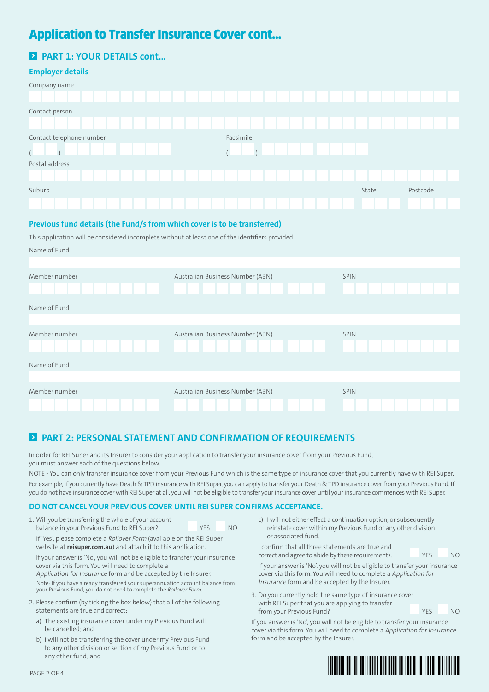# Application to Transfer Insurance Cover cont...

### **Employer details**

| Company name             |           |                   |
|--------------------------|-----------|-------------------|
|                          |           |                   |
| Contact person           |           |                   |
|                          |           |                   |
| Contact telephone number | Facsimile |                   |
| $\sqrt{2}$               |           |                   |
| Postal address           |           |                   |
|                          |           |                   |
| Suburb                   |           | Postcode<br>State |
|                          |           |                   |

### **Previous fund details (the Fund/s from which cover is to be transferred)**

This application will be considered incomplete without at least one of the identifiers provided.

|  | Name of Fund |
|--|--------------|
|--|--------------|

| Member number | Australian Business Number (ABN) | SPIN |
|---------------|----------------------------------|------|
|               |                                  |      |
| Name of Fund  |                                  |      |
|               |                                  |      |
| Member number | Australian Business Number (ABN) | SPIN |
|               |                                  |      |
| Name of Fund  |                                  |      |
|               |                                  |      |
| Member number | Australian Business Number (ABN) | SPIN |
|               |                                  |      |

### **PART 2: PERSONAL STATEMENT AND CONFIRMATION OF REQUIREMENTS**

In order for REI Super and its Insurer to consider your application to transfer your insurance cover from your Previous Fund, you must answer each of the questions below.

NOTE - You can only transfer insurance cover from your Previous Fund which is the same type of insurance cover that you currently have with REI Super. For example, if you currently have Death & TPD insurance with REI Super, you can apply to transfer your Death & TPD insurance cover from your Previous Fund. If you do not have insurance cover with REI Super at all, you will not be eligible to transfer your insurance cover until your insurance commences with REI Super.

### **DO NOT CANCEL YOUR PREVIOUS COVER UNTIL REI SUPER CONFIRMS ACCEPTANCE.**

| 1. Will you be transferring the whole of your account                 |      |           |
|-----------------------------------------------------------------------|------|-----------|
| balance in your Previous Fund to REI Super?                           | YFS. | <b>NO</b> |
| If 'Yes', please complete a Rollover Form (available on the REI Super |      |           |

website at **reisuper.com.au**) and attach it to this application.

 If your answer is 'No', you will not be eligible to transfer your insurance cover via this form. You will need to complete a Application for Insurance form and be accepted by the Insurer.

 Note: If you have already transferred your superannuation account balance from your Previous Fund, you do not need to complete the Rollover Form.

- 2. Please confirm (by ticking the box below) that all of the following statements are true and correct:
	- a) The existing insurance cover under my Previous Fund will be cancelled; and
	- b) I will not be transferring the cover under my Previous Fund to any other division or section of my Previous Fund or to any other fund; and

c) I will not either effect a continuation option, or subsequently reinstate cover within my Previous Fund or any other division or associated fund.

 I confirm that all three statements are true and correct and agree to abide by these requirements. YES NO

 If your answer is 'No', you will not be eligible to transfer your insurance cover via this form. You will need to complete a Application for Insurance form and be accepted by the Insurer.

3. Do you currently hold the same type of insurance cover with REI Super that you are applying to transfer from your Previous Fund? The VES NO

If you answer is 'No', you will not be eligible to transfer your insurance cover via this form. You will need to complete a Application for Insurance form and be accepted by the Insurer.

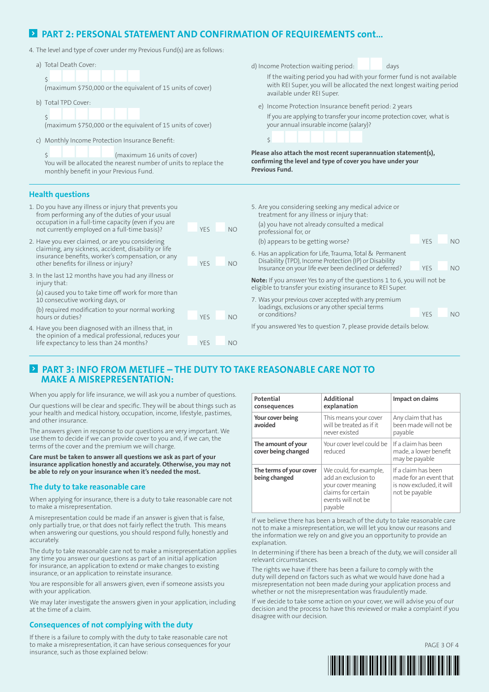### **E** PART 2: PERSONAL STATEMENT AND CONFIRMATION OF REQUIREMENTS cont...

4. The level and type of cover under my Previous Fund(s) are as follows:

| The rever and cype or cover ander my ricvious rand(s) are as ronows.                                                                                                                                                                                                                                                                                                                                                                                                                                                                                                                                                                                                                                                                                   |                                                          |                                                                                                                                                                                                                                                                                                                                                                                                                                                                                                                                                                                                                                                                                                                                          |                                                                 |  |
|--------------------------------------------------------------------------------------------------------------------------------------------------------------------------------------------------------------------------------------------------------------------------------------------------------------------------------------------------------------------------------------------------------------------------------------------------------------------------------------------------------------------------------------------------------------------------------------------------------------------------------------------------------------------------------------------------------------------------------------------------------|----------------------------------------------------------|------------------------------------------------------------------------------------------------------------------------------------------------------------------------------------------------------------------------------------------------------------------------------------------------------------------------------------------------------------------------------------------------------------------------------------------------------------------------------------------------------------------------------------------------------------------------------------------------------------------------------------------------------------------------------------------------------------------------------------------|-----------------------------------------------------------------|--|
| a) Total Death Cover:<br>Ŝ.<br>(maximum \$750,000 or the equivalent of 15 units of cover)<br>b) Total TPD Cover:<br>(maximum \$750,000 or the equivalent of 15 units of cover)<br>c) Monthly Income Protection Insurance Benefit:<br>(maximum 16 units of cover)<br>You will be allocated the nearest number of units to replace the<br>monthly benefit in your Previous Fund.                                                                                                                                                                                                                                                                                                                                                                         |                                                          | d) Income Protection waiting period:<br>days<br>If the waiting period you had with your former fund is not available<br>with REI Super, you will be allocated the next longest waiting period<br>available under REI Super.<br>e) Income Protection Insurance benefit period: 2 years<br>If you are applying to transfer your income protection cover, what is<br>your annual insurable income (salary)?<br>Ś.<br>Please also attach the most recent superannuation statement(s),<br>confirming the level and type of cover you have under your<br><b>Previous Fund.</b>                                                                                                                                                                 |                                                                 |  |
| <b>Health questions</b><br>1. Do you have any illness or injury that prevents you<br>from performing any of the duties of your usual<br>occupation in a full-time capacity (even if you are<br>not currently employed on a full-time basis)?<br>2. Have you ever claimed, or are you considering<br>claiming, any sickness, accident, disability or life<br>insurance benefits, worker's compensation, or any<br>other benefits for illness or injury?<br>3. In the last 12 months have you had any illness or<br>injury that:<br>(a) caused you to take time off work for more than<br>10 consecutive working days, or<br>(b) required modification to your normal working<br>hours or duties?<br>4. Have you been diagnosed with an illness that, in | YES<br><b>NO</b><br>YES<br><b>NO</b><br>YES<br><b>NO</b> | 5. Are you considering seeking any medical advice or<br>treatment for any illness or injury that:<br>(a) you have not already consulted a medical<br>professional for, or<br>(b) appears to be getting worse?<br>6. Has an application for Life, Trauma, Total & Permanent<br>Disability (TPD), Income Protection (IP) or Disability<br>Insurance on your life ever been declined or deferred?<br>Note: If you answer Yes to any of the questions 1 to 6, you will not be<br>eligible to transfer your existing insurance to REI Super.<br>7. Was your previous cover accepted with any premium<br>loadings, exclusions or any other special terms<br>or conditions?<br>If you answered Yes to question 7, please provide details below. | YES<br><b>NO</b><br>YES<br><b>NO</b><br><b>YES</b><br><b>NO</b> |  |
| the opinion of a medical professional, reduces your<br>life expectancy to less than 24 months?                                                                                                                                                                                                                                                                                                                                                                                                                                                                                                                                                                                                                                                         | <b>YES</b><br><b>NO</b>                                  |                                                                                                                                                                                                                                                                                                                                                                                                                                                                                                                                                                                                                                                                                                                                          |                                                                 |  |
|                                                                                                                                                                                                                                                                                                                                                                                                                                                                                                                                                                                                                                                                                                                                                        |                                                          |                                                                                                                                                                                                                                                                                                                                                                                                                                                                                                                                                                                                                                                                                                                                          |                                                                 |  |

### **PART 3: INFO FROM METLIFE – THE DUTY TO TAKE REASONABLE CARE NOT TO MAKE A MISREPRESENTATION:**

When you apply for life insurance, we will ask you a number of questions.

Our questions will be clear and specific. They will be about things such as your health and medical history, occupation, income, lifestyle, pastimes, and other insurance.

The answers given in response to our questions are very important. We use them to decide if we can provide cover to you and, if we can, the terms of the cover and the premium we will charge.

**Care must be taken to answer all questions we ask as part of your insurance application honestly and accurately. Otherwise, you may not be able to rely on your insurance when it's needed the most.**

### **The duty to take reasonable care**

When applying for insurance, there is a duty to take reasonable care not to make a misrepresentation.

A misrepresentation could be made if an answer is given that is false, only partially true, or that does not fairly reflect the truth. This means when answering our questions, you should respond fully, honestly and accurately.

The duty to take reasonable care not to make a misrepresentation applies any time you answer our questions as part of an initial application for insurance, an application to extend or make changes to existing insurance, or an application to reinstate insurance.

You are responsible for all answers given, even if someone assists you with your application.

We may later investigate the answers given in your application, including at the time of a claim.

### **Consequences of not complying with the duty**

If there is a failure to comply with the duty to take reasonable care not to make a misrepresentation, it can have serious consequences for your insurance, such as those explained below:

| Potential<br>consequences                 | <b>Additional</b><br>explanation                                                                                           | Impact on claims                                                                            |
|-------------------------------------------|----------------------------------------------------------------------------------------------------------------------------|---------------------------------------------------------------------------------------------|
| Your cover being<br>avoided               | This means your cover<br>will be treated as if it<br>never existed                                                         | Any claim that has<br>been made will not be<br>payable                                      |
| The amount of your<br>cover being changed | Your cover level could be<br>reduced                                                                                       | If a claim has been<br>made, a lower benefit<br>may be payable                              |
| The terms of your cover<br>being changed  | We could, for example,<br>add an exclusion to<br>your cover meaning<br>claims for certain<br>events will not be<br>payable | If a claim has been<br>made for an event that<br>is now excluded, it will<br>not be payable |

If we believe there has been a breach of the duty to take reasonable care not to make a misrepresentation, we will let you know our reasons and the information we rely on and give you an opportunity to provide an explanation.

In determining if there has been a breach of the duty, we will consider all relevant circumstances.

The rights we have if there has been a failure to comply with the duty will depend on factors such as what we would have done had a misrepresentation not been made during your application process and whether or not the misrepresentation was fraudulently made.

If we decide to take some action on your cover, we will advise you of our decision and the process to have this reviewed or make a complaint if you disagree with our decision.



PAGE 3 OF 4